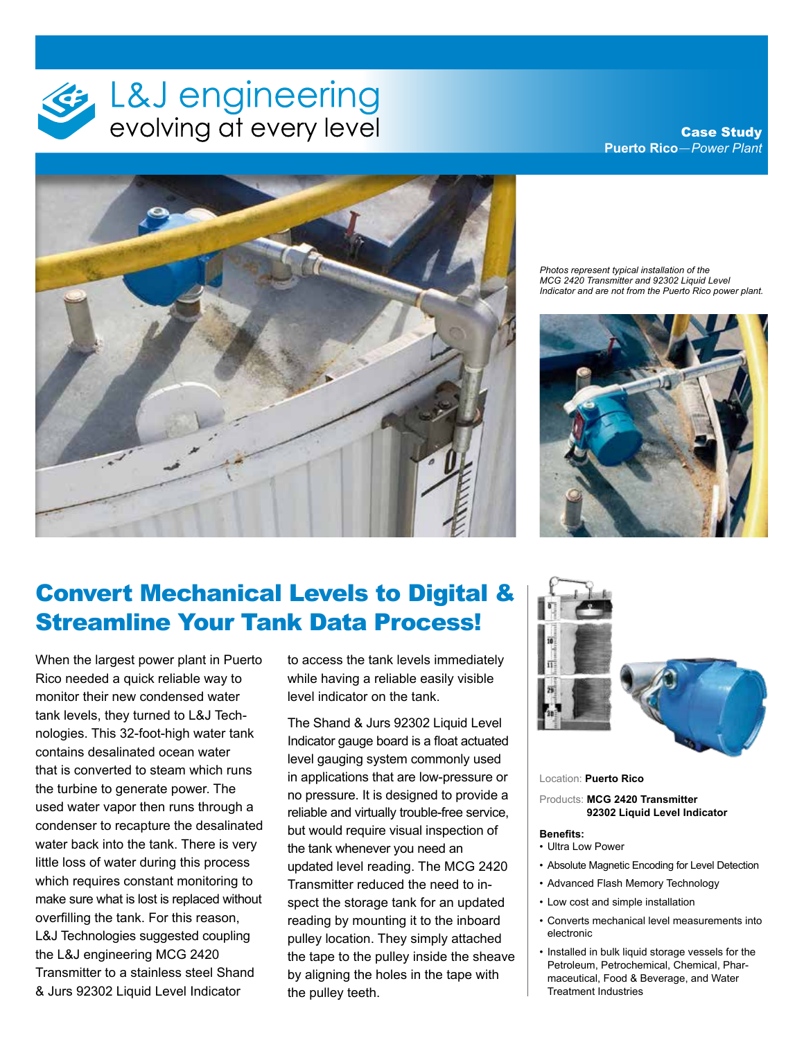

Case Study **Puerto Rico**—*Power Plant*



*Photos represent typical installation of the MCG 2420 Transmitter and 92302 Liquid Level Indicator and are not from the Puerto Rico power plant.*



## Convert Mechanical Levels to Digital & Streamline Your Tank Data Process!

When the largest power plant in Puerto Rico needed a quick reliable way to monitor their new condensed water tank levels, they turned to L&J Technologies. This 32-foot-high water tank contains desalinated ocean water that is converted to steam which runs the turbine to generate power. The used water vapor then runs through a condenser to recapture the desalinated water back into the tank. There is very little loss of water during this process which requires constant monitoring to make sure what is lost is replaced without overfilling the tank. For this reason, L&J Technologies suggested coupling the L&J engineering MCG 2420 Transmitter to a stainless steel Shand & Jurs 92302 Liquid Level Indicator

to access the tank levels immediately while having a reliable easily visible level indicator on the tank.

The Shand & Jurs 92302 Liquid Level Indicator gauge board is a float actuated level gauging system commonly used in applications that are low-pressure or no pressure. It is designed to provide a reliable and virtually trouble-free service, but would require visual inspection of the tank whenever you need an updated level reading. The MCG 2420 Transmitter reduced the need to inspect the storage tank for an updated reading by mounting it to the inboard pulley location. They simply attached the tape to the pulley inside the sheave by aligning the holes in the tape with the pulley teeth.



Location: **Puerto Rico**

Products: **MCG 2420 Transmitter 92302 Liquid Level Indicator**

## **Benefits:**

- Ultra Low Power
- Absolute Magnetic Encoding for Level Detection
- Advanced Flash Memory Technology
- Low cost and simple installation
- Converts mechanical level measurements into electronic
- Installed in bulk liquid storage vessels for the Petroleum, Petrochemical, Chemical, Pharmaceutical, Food & Beverage, and Water Treatment Industries